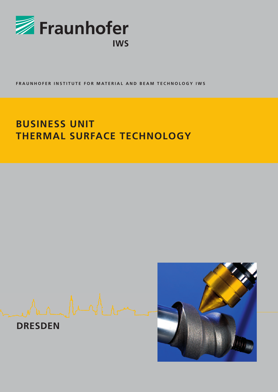

FRAUNHOFER INSTITUTE FOR MATERIAL AND BEAM TECHNOLOGY IWS

# **BUSINESS UNIT THERMAL SURFACE TECHNOLOGY**

**DRESDEN**

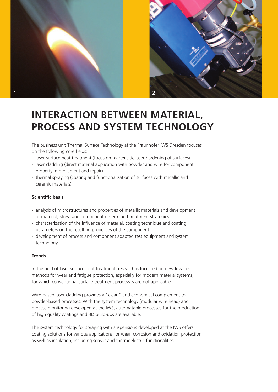



## **INTERACTION BETWEEN MATERIAL, PROCESS AND SYSTEM TECHNOLOGY**

The business unit Thermal Surface Technology at the Fraunhofer IWS Dresden focuses on the following core fields:

- laser surface heat treatment (focus on martensitic laser hardening of surfaces)
- laser cladding (direct material application with powder and wire for component property improvement and repair)
- thermal spraying (coating and functionalization of surfaces with metallic and ceramic materials)

### **Scientific basis**

- analysis of microstructures and properties of metallic materials and development of material, stress and component-determined treatment strategies
- characterization of the influence of material, coating technique and coating parameters on the resulting properties of the component
- development of process and component adapted test equipment and system technology

### **Trends**

In the field of laser surface heat treatment, research is focussed on new low-cost methods for wear and fatigue protection, especially for modern material systems, for which conventional surface treatment processes are not applicable.

Wire-based laser cladding provides a "clean" and economical complement to powder-based processes. With the system technology (modular wire head) and process monitoring developed at the IWS, automatable processes for the production of high quality coatings and 3D build-ups are available.

The system technology for spraying with suspensions developed at the IWS offers coating solutions for various applications for wear, corrosion and oxidation protection as well as insulation, including sensor and thermoelectric functionalities.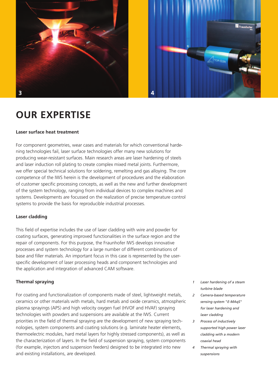

### **OUR EXPERTISE**

### **Laser surface heat treatment**

For component geometries, wear cases and materials for which conventional hardening technologies fail, laser surface technologies offer many new solutions for producing wear-resistant surfaces. Main research areas are laser hardening of steels and laser induction roll plating to create complex mixed metal joints. Furthermore, we offer special technical solutions for soldering, remelting and gas alloying. The core competence of the IWS herein is the development of procedures and the elaboration of customer specific processing concepts, as well as the new and further development of the system technology, ranging from individual devices to complex machines and systems. Developments are focussed on the realization of precise temperature control systems to provide the basis for reproducible industrial processes.

#### **Laser cladding**

This field of expertise includes the use of laser cladding with wire and powder for coating surfaces, generating improved functionalities in the surface region and the repair of components. For this purpose, the Fraunhofer IWS develops innovative processes and system technology for a large number of different combinations of base and filler materials. An important focus in this case is represented by the userspecific development of laser processing heads and component technologies and the application and integration of advanced CAM software.

#### **Thermal spraying**

For coating and functionalization of components made of steel, lightweight metals, ceramics or other materials with metals, hard metals and oxide ceramics, atmospheric plasma sprayings (APS) and high velocity oxygen fuel (HVOF and HVAF) spraying technologies with powders and suspensions are available at the IWS. Current priorities in the field of thermal spraying are the development of new spraying technologies, system components and coating solutions (e.g. laminate heater elements, thermoelectric modules, hard metal layers for highly stressed components), as well as the characterization of layers. In the field of suspension spraying, system components (for example, injectors and suspension feeders) designed to be integrated into new and existing installations, are developed.

- *1 Laser hardening of a steam turbine blade*
- *2 Camera-based temperature sensing system "E-MAqS" for laser hardening and laser cladding*
- *3 Process of inductively supported high power laser cladding with a modern coaxial head*
- *4 Thermal spraying with suspensions*